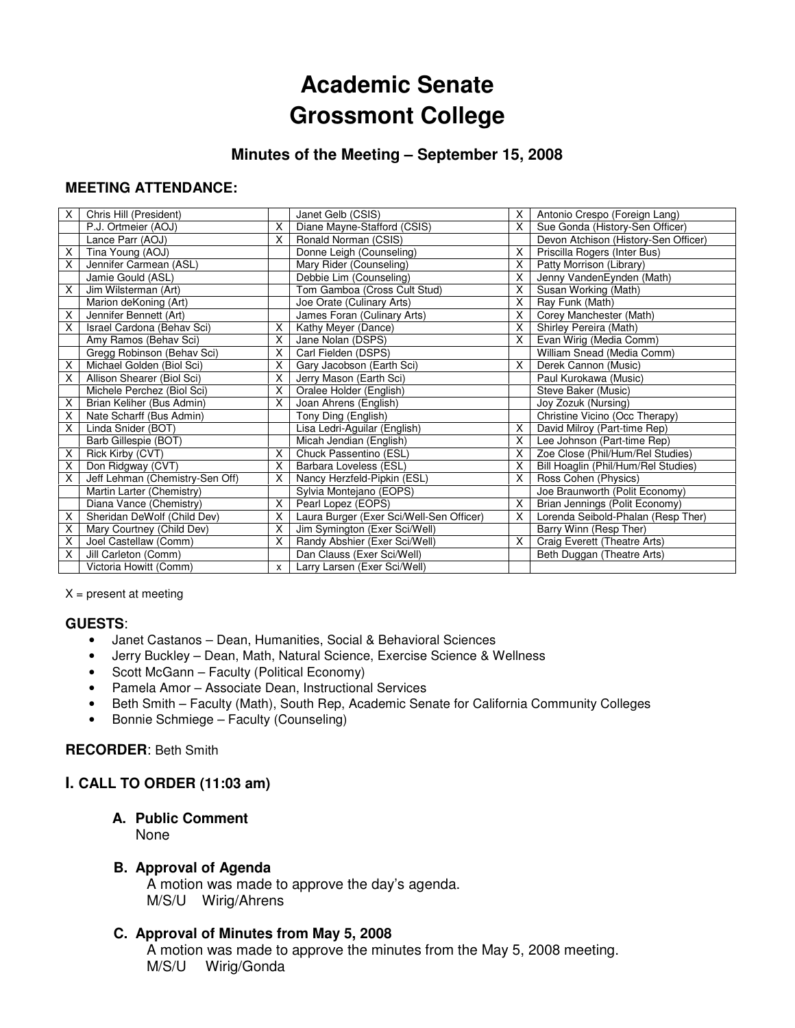# **Academic Senate Grossmont College**

# **Minutes of the Meeting – September 15, 2008**

## **MEETING ATTENDANCE:**

| X. | Chris Hill (President)          |   | Janet Gelb (CSIS)                        | X. | Antonio Crespo (Foreign Lang)        |
|----|---------------------------------|---|------------------------------------------|----|--------------------------------------|
|    | P.J. Ortmeier (AOJ)             | X | Diane Mayne-Stafford (CSIS)              | X. | Sue Gonda (History-Sen Officer)      |
|    | Lance Parr (AOJ)                | X | Ronald Norman (CSIS)                     |    | Devon Atchison (History-Sen Officer) |
| Χ  | Tina Young (AOJ)                |   | Donne Leigh (Counseling)                 | X. | Priscilla Rogers (Inter Bus)         |
| X  | Jennifer Carmean (ASL)          |   | Mary Rider (Counseling)                  | X. | Patty Morrison (Library)             |
|    | Jamie Gould (ASL)               |   | Debbie Lim (Counseling)                  | X. | Jenny VandenEynden (Math)            |
| X  | Jim Wilsterman (Art)            |   | Tom Gamboa (Cross Cult Stud)             | X  | Susan Working (Math)                 |
|    | Marion deKoning (Art)           |   | Joe Orate (Culinary Arts)                | X. | Ray Funk (Math)                      |
| X  | Jennifer Bennett (Art)          |   | James Foran (Culinary Arts)              | X. | Corey Manchester (Math)              |
| X  | Israel Cardona (Behav Sci)      | X | Kathy Meyer (Dance)                      | X. | Shirley Pereira (Math)               |
|    | Amy Ramos (Behav Sci)           | X | Jane Nolan (DSPS)                        | X. | Evan Wirig (Media Comm)              |
|    | Gregg Robinson (Behav Sci)      | X | Carl Fielden (DSPS)                      |    | William Snead (Media Comm)           |
| Χ  | Michael Golden (Biol Sci)       | X | Gary Jacobson (Earth Sci)                | X. | Derek Cannon (Music)                 |
| X  | Allison Shearer (Biol Sci)      | X | Jerry Mason (Earth Sci)                  |    | Paul Kurokawa (Music)                |
|    | Michele Perchez (Biol Sci)      | X | Oralee Holder (English)                  |    | Steve Baker (Music)                  |
| X  | Brian Keliher (Bus Admin)       | X | Joan Ahrens (English)                    |    | Joy Zozuk (Nursing)                  |
| X  | Nate Scharff (Bus Admin)        |   | Tony Ding (English)                      |    | Christine Vicino (Occ Therapy)       |
| X  | Linda Snider (BOT)              |   | Lisa Ledri-Aguilar (English)             | X  | David Milroy (Part-time Rep)         |
|    | Barb Gillespie (BOT)            |   | Micah Jendian (English)                  | X. | Lee Johnson (Part-time Rep)          |
| X  | Rick Kirby (CVT)                | X | Chuck Passentino (ESL)                   | X. | Zoe Close (Phil/Hum/Rel Studies)     |
| X  | Don Ridgway (CVT)               | X | Barbara Loveless (ESL)                   | X. | Bill Hoaglin (Phil/Hum/Rel Studies)  |
| X  | Jeff Lehman (Chemistry-Sen Off) | X | Nancy Herzfeld-Pipkin (ESL)              | X. | Ross Cohen (Physics)                 |
|    | Martin Larter (Chemistry)       |   | Sylvia Montejano (EOPS)                  |    | Joe Braunworth (Polit Economy)       |
|    | Diana Vance (Chemistry)         | X | Pearl Lopez (EOPS)                       | X. | Brian Jennings (Polit Economy)       |
| X  | Sheridan DeWolf (Child Dev)     | X | Laura Burger (Exer Sci/Well-Sen Officer) | X. | Lorenda Seibold-Phalan (Resp Ther)   |
| Χ  | Mary Courtney (Child Dev)       | X | Jim Symington (Exer Sci/Well)            |    | Barry Winn (Resp Ther)               |
| X  | Joel Castellaw (Comm)           | X | Randy Abshier (Exer Sci/Well)            | X. | Craig Everett (Theatre Arts)         |
| X  | Jill Carleton (Comm)            |   | Dan Clauss (Exer Sci/Well)               |    | Beth Duggan (Theatre Arts)           |
|    | Victoria Howitt (Comm)          | x | Larry Larsen (Exer Sci/Well)             |    |                                      |

 $X =$  present at meeting

#### **GUESTS**:

- Janet Castanos Dean, Humanities, Social & Behavioral Sciences
- Jerry Buckley Dean, Math, Natural Science, Exercise Science & Wellness
- Scott McGann Faculty (Political Economy)
- Pamela Amor Associate Dean, Instructional Services
- Beth Smith Faculty (Math), South Rep, Academic Senate for California Community Colleges
- Bonnie Schmiege Faculty (Counseling)

## **RECORDER**: Beth Smith

## **I. CALL TO ORDER (11:03 am)**

#### **A. Public Comment**

None

## **B. Approval of Agenda**

A motion was made to approve the day's agenda. M/S/U Wirig/Ahrens

## **C. Approval of Minutes from May 5, 2008**

 A motion was made to approve the minutes from the May 5, 2008 meeting. M/S/U Wirig/Gonda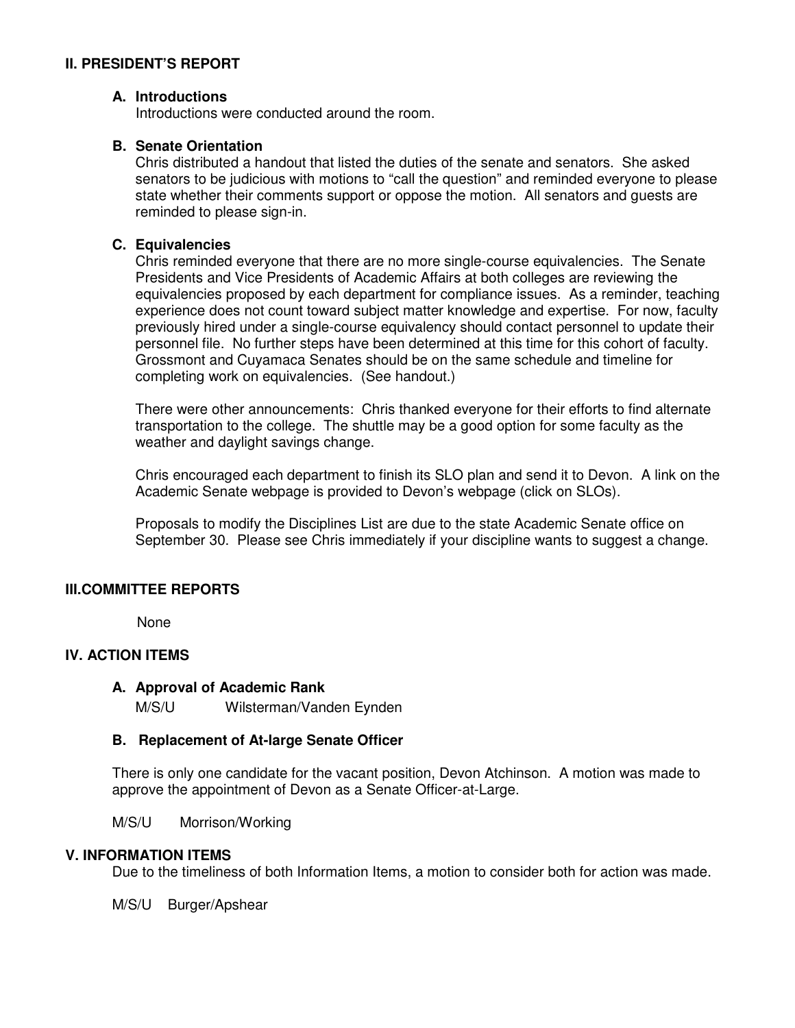## **II. PRESIDENT'S REPORT**

## **A. Introductions**

Introductions were conducted around the room.

## **B. Senate Orientation**

Chris distributed a handout that listed the duties of the senate and senators. She asked senators to be judicious with motions to "call the question" and reminded everyone to please state whether their comments support or oppose the motion. All senators and guests are reminded to please sign-in.

## **C. Equivalencies**

Chris reminded everyone that there are no more single-course equivalencies. The Senate Presidents and Vice Presidents of Academic Affairs at both colleges are reviewing the equivalencies proposed by each department for compliance issues. As a reminder, teaching experience does not count toward subject matter knowledge and expertise. For now, faculty previously hired under a single-course equivalency should contact personnel to update their personnel file. No further steps have been determined at this time for this cohort of faculty. Grossmont and Cuyamaca Senates should be on the same schedule and timeline for completing work on equivalencies. (See handout.)

There were other announcements: Chris thanked everyone for their efforts to find alternate transportation to the college. The shuttle may be a good option for some faculty as the weather and daylight savings change.

Chris encouraged each department to finish its SLO plan and send it to Devon. A link on the Academic Senate webpage is provided to Devon's webpage (click on SLOs).

Proposals to modify the Disciplines List are due to the state Academic Senate office on September 30. Please see Chris immediately if your discipline wants to suggest a change.

#### **III.COMMITTEE REPORTS**

None

### **IV. ACTION ITEMS**

### **A. Approval of Academic Rank**

M/S/U Wilsterman/Vanden Eynden

#### **B. Replacement of At-large Senate Officer**

There is only one candidate for the vacant position, Devon Atchinson. A motion was made to approve the appointment of Devon as a Senate Officer-at-Large.

M/S/U Morrison/Working

#### **V. INFORMATION ITEMS**

Due to the timeliness of both Information Items, a motion to consider both for action was made.

M/S/U Burger/Apshear